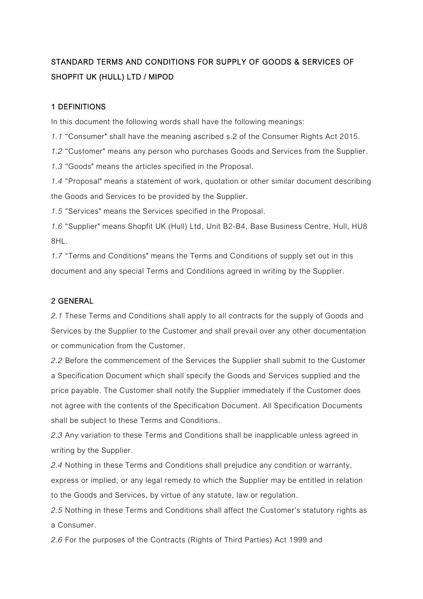# STANDARD TERMS AND CONDITIONS FOR SUPPLY OF GOODS & SERVICES OF SHOPFIT UK (HULL) LTD / MIPOD

## 1 DEFINITIONS

In this document the following words shall have the following meanings:

*1.1* "Consumer" shall have the meaning ascribed s.2 of the Consumer Rights Act 2015.

*1.2* "Customer" means any person who purchases Goods and Services from the Supplier.

*1.3* "Goods" means the articles specified in the Proposal.

*1.4* "Proposal" means a statement of work, quotation or other similar document describing the Goods and Services to be provided by the Supplier.

*1.5* "Services" means the Services specified in the Proposal.

*1.6* "Supplier" means Shopfit UK (Hull) Ltd, Unit B2-B4, Base Business Centre, Hull, HU8 8HL.

*1.7* "Terms and Conditions" means the Terms and Conditions of supply set out in this document and any special Terms and Conditions agreed in writing by the Supplier.

# 2 GENERAL

*2.1* These Terms and Conditions shall apply to all contracts for the supply of Goods and Services by the Supplier to the Customer and shall prevail over any other documentation or communication from the Customer.

*2.2* Before the commencement of the Services the Supplier shall submit to the Customer a Specification Document which shall specify the Goods and Services supplied and the price payable. The Customer shall notify the Supplier immediately if the Customer does not agree with the contents of the Specification Document. All Specification Documents shall be subject to these Terms and Conditions.

*2.3* Any variation to these Terms and Conditions shall be inapplicable unless agreed in writing by the Supplier.

*2.4* Nothing in these Terms and Conditions shall prejudice any condition or warranty, express or implied, or any legal remedy to which the Supplier may be entitled in relation to the Goods and Services, by virtue of any statute, law or regulation.

*2.5* Nothing in these Terms and Conditions shall affect the Customer's statutory rights as a Consumer.

*2.6* For the purposes of the Contracts (Rights of Third Parties) Act 1999 and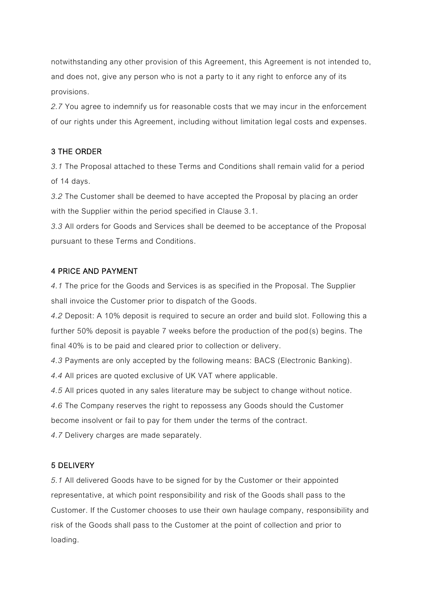notwithstanding any other provision of this Agreement, this Agreement is not intended to, and does not, give any person who is not a party to it any right to enforce any of its provisions.

*2.7* You agree to indemnify us for reasonable costs that we may incur in the enforcement of our rights under this Agreement, including without limitation legal costs and expenses.

## 3 THE ORDER

*3.1* The Proposal attached to these Terms and Conditions shall remain valid for a period of 14 days.

*3.2* The Customer shall be deemed to have accepted the Proposal by placing an order with the Supplier within the period specified in Clause 3.1.

*3.3* All orders for Goods and Services shall be deemed to be acceptance of the Proposal pursuant to these Terms and Conditions.

#### 4 PRICE AND PAYMENT

*4.1* The price for the Goods and Services is as specified in the Proposal. The Supplier shall invoice the Customer prior to dispatch of the Goods.

*4.2* Deposit: A 10% deposit is required to secure an order and build slot. Following this a further 50% deposit is payable 7 weeks before the production of the pod(s) begins. The final 40% is to be paid and cleared prior to collection or delivery.

*4.3* Payments are only accepted by the following means: BACS (Electronic Banking).

*4.4* All prices are quoted exclusive of UK VAT where applicable.

*4.5* All prices quoted in any sales literature may be subject to change without notice.

*4.6* The Company reserves the right to repossess any Goods should the Customer

become insolvent or fail to pay for them under the terms of the contract.

*4.7* Delivery charges are made separately.

#### 5 DELIVERY

*5.1* All delivered Goods have to be signed for by the Customer or their appointed representative, at which point responsibility and risk of the Goods shall pass to the Customer. If the Customer chooses to use their own haulage company, responsibility and risk of the Goods shall pass to the Customer at the point of collection and prior to loading.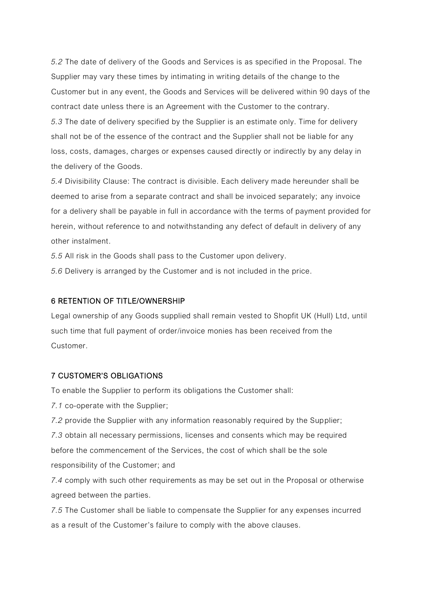*5.2* The date of delivery of the Goods and Services is as specified in the Proposal. The Supplier may vary these times by intimating in writing details of the change to the Customer but in any event, the Goods and Services will be delivered within 90 days of the contract date unless there is an Agreement with the Customer to the contrary. *5.3* The date of delivery specified by the Supplier is an estimate only. Time for delivery shall not be of the essence of the contract and the Supplier shall not be liable for any loss, costs, damages, charges or expenses caused directly or indirectly by any delay in the delivery of the Goods.

*5.4* Divisibility Clause: The contract is divisible. Each delivery made hereunder shall be deemed to arise from a separate contract and shall be invoiced separately; any invoice for a delivery shall be payable in full in accordance with the terms of payment provided for herein, without reference to and notwithstanding any defect of default in delivery of any other instalment.

*5.5* All risk in the Goods shall pass to the Customer upon delivery.

*5.6* Delivery is arranged by the Customer and is not included in the price.

#### 6 RETENTION OF TITLE/OWNERSHIP

Legal ownership of any Goods supplied shall remain vested to Shopfit UK (Hull) Ltd, until such time that full payment of order/invoice monies has been received from the Customer.

#### 7 CUSTOMER'S OBLIGATIONS

To enable the Supplier to perform its obligations the Customer shall:

*7.1* co-operate with the Supplier;

*7.2* provide the Supplier with any information reasonably required by the Supplier;

*7.3* obtain all necessary permissions, licenses and consents which may be required before the commencement of the Services, the cost of which shall be the sole responsibility of the Customer; and

*7.4* comply with such other requirements as may be set out in the Proposal or otherwise agreed between the parties.

*7.5* The Customer shall be liable to compensate the Supplier for any expenses incurred as a result of the Customer's failure to comply with the above clauses.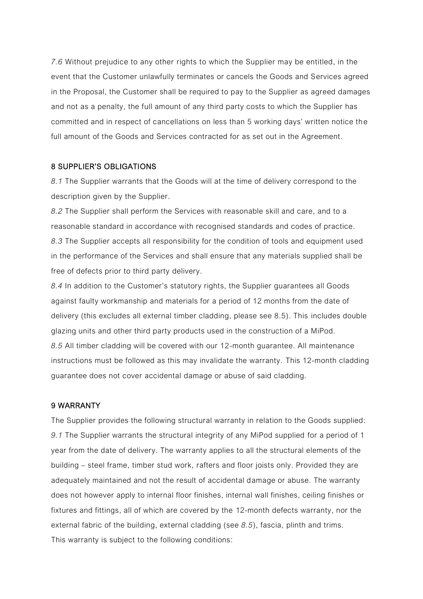*7.6* Without prejudice to any other rights to which the Supplier may be entitled, in the event that the Customer unlawfully terminates or cancels the Goods and Services agreed in the Proposal, the Customer shall be required to pay to the Supplier as agreed damages and not as a penalty, the full amount of any third party costs to which the Supplier has committed and in respect of cancellations on less than 5 working days' written notice the full amount of the Goods and Services contracted for as set out in the Agreement.

#### 8 SUPPLIER'S OBLIGATIONS

*8.1* The Supplier warrants that the Goods will at the time of delivery correspond to the description given by the Supplier.

*8.2* The Supplier shall perform the Services with reasonable skill and care, and to a reasonable standard in accordance with recognised standards and codes of practice. *8.3* The Supplier accepts all responsibility for the condition of tools and equipment used in the performance of the Services and shall ensure that any materials supplied shall be free of defects prior to third party delivery.

*8.4* In addition to the Customer's statutory rights, the Supplier guarantees all Goods against faulty workmanship and materials for a period of 12 months from the date of delivery (this excludes all external timber cladding, please see 8.5). This includes double glazing units and other third party products used in the construction of a MiPod. *8.5* All timber cladding will be covered with our 12-month guarantee. All maintenance instructions must be followed as this may invalidate the warranty. This 12-month cladding guarantee does not cover accidental damage or abuse of said cladding.

#### 9 WARRANTY

The Supplier provides the following structural warranty in relation to the Goods supplied: *9.1* The Supplier warrants the structural integrity of any MiPod supplied for a period of 1 year from the date of delivery. The warranty applies to all the structural elements of the building – steel frame, timber stud work, rafters and floor joists only. Provided they are adequately maintained and not the result of accidental damage or abuse. The warranty does not however apply to internal floor finishes, internal wall finishes, ceiling finishes or fixtures and fittings, all of which are covered by the 12-month defects warranty, nor the external fabric of the building, external cladding (see *8.5*), fascia, plinth and trims. This warranty is subject to the following conditions: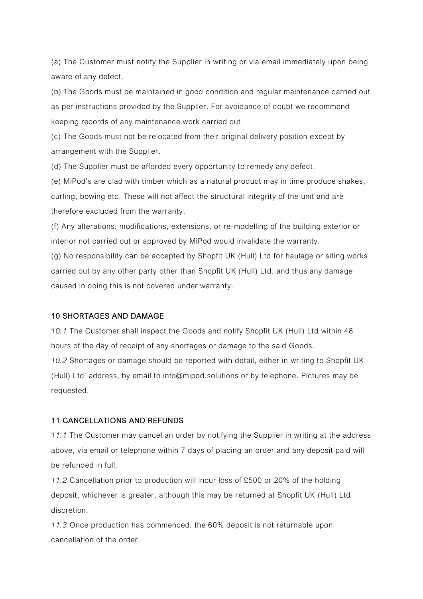(a) The Customer must notify the Supplier in writing or via email immediately upon being aware of any defect.

(b) The Goods must be maintained in good condition and regular maintenance carried out as per instructions provided by the Supplier. For avoidance of doubt we recommend keeping records of any maintenance work carried out.

(c) The Goods must not be relocated from their original delivery position except by arrangement with the Supplier.

(d) The Supplier must be afforded every opportunity to remedy any defect.

(e) MiPod's are clad with timber which as a natural product may in time produce shakes, curling, bowing etc. These will not affect the structural integrity of the unit and are therefore excluded from the warranty.

(f) Any alterations, modifications, extensions, or re-modelling of the building exterior or interior not carried out or approved by MiPod would invalidate the warranty.

(g) No responsibility can be accepted by Shopfit UK (Hull) Ltd for haulage or siting works carried out by any other party other than Shopfit UK (Hull) Ltd, and thus any damage caused in doing this is not covered under warranty.

#### 10 SHORTAGES AND DAMAGE

*10.1* The Customer shall inspect the Goods and notify Shopfit UK (Hull) Ltd within 48 hours of the day of receipt of any shortages or damage to the said Goods.

*10.2* Shortages or damage should be reported with detail, either in writing to Shopfit UK (Hull) Ltd' address, by email to info@mipod.solutions or by telephone. Pictures may be requested.

#### 11 CANCELLATIONS AND REFUNDS

*11.1* The Customer may cancel an order by notifying the Supplier in writing at the address above, via email or telephone within 7 days of placing an order and any deposit paid will be refunded in full.

*11.2* Cancellation prior to production will incur loss of £500 or 20% of the holding deposit, whichever is greater, although this may be returned at Shopfit UK (Hull) Ltd discretion.

*11.3* Once production has commenced, the 60% deposit is not returnable upon cancellation of the order.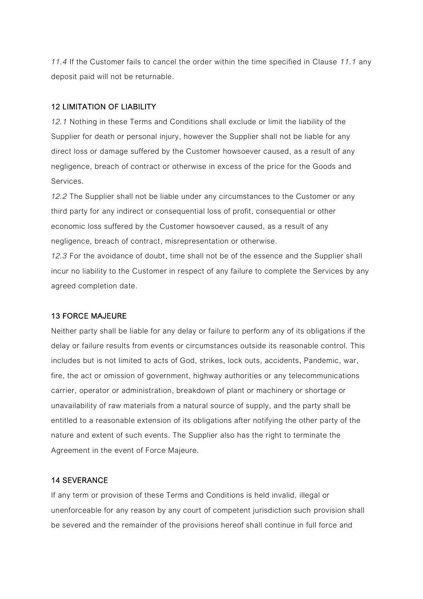*11.4* If the Customer fails to cancel the order within the time specified in Clause *11.1* any deposit paid will not be returnable.

## 12 LIMITATION OF LIABILITY

*12.1* Nothing in these Terms and Conditions shall exclude or limit the liability of the Supplier for death or personal injury, however the Supplier shall not be liable for any direct loss or damage suffered by the Customer howsoever caused, as a result of any negligence, breach of contract or otherwise in excess of the price for the Goods and Services.

*12.2* The Supplier shall not be liable under any circumstances to the Customer or any third party for any indirect or consequential loss of profit, consequential or other economic loss suffered by the Customer howsoever caused, as a result of any negligence, breach of contract, misrepresentation or otherwise.

*12.3* For the avoidance of doubt, time shall not be of the essence and the Supplier shall incur no liability to the Customer in respect of any failure to complete the Services by any agreed completion date.

#### 13 FORCE MAJEURE

Neither party shall be liable for any delay or failure to perform any of its obligations if the delay or failure results from events or circumstances outside its reasonable control. This includes but is not limited to acts of God, strikes, lock outs, accidents, Pandemic, war, fire, the act or omission of government, highway authorities or any telecommunications carrier, operator or administration, breakdown of plant or machinery or shortage or unavailability of raw materials from a natural source of supply, and the party shall be entitled to a reasonable extension of its obligations after notifying the other party of the nature and extent of such events. The Supplier also has the right to terminate the Agreement in the event of Force Majeure.

#### 14 SEVERANCE

If any term or provision of these Terms and Conditions is held invalid, illegal or unenforceable for any reason by any court of competent jurisdiction such provision shall be severed and the remainder of the provisions hereof shall continue in full force and